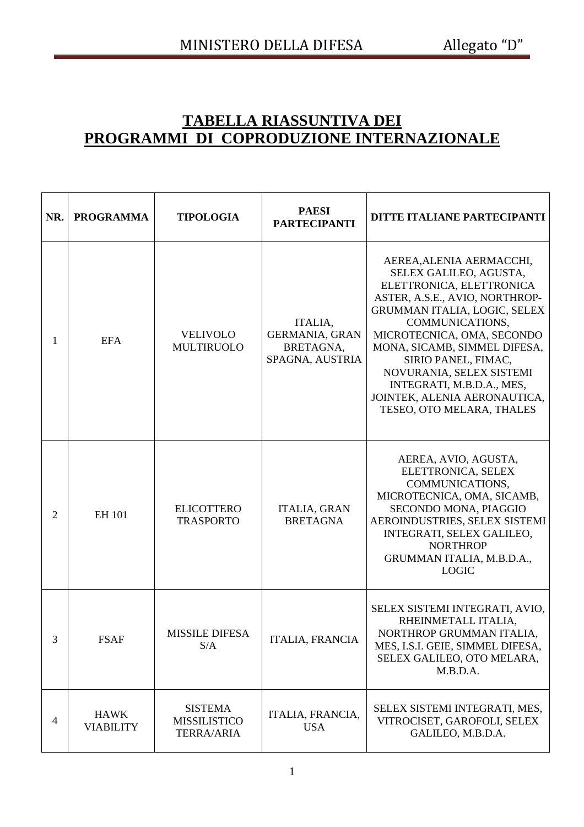## **TABELLA RIASSUNTIVA DEI PROGRAMMI DI COPRODUZIONE INTERNAZIONALE**

| NR.            | <b>PROGRAMMA</b>                | <b>TIPOLOGIA</b>                                           | <b>PAESI</b><br><b>PARTECIPANTI</b>                              | DITTE ITALIANE PARTECIPANTI                                                                                                                                                                                                                                                                                                                                                    |
|----------------|---------------------------------|------------------------------------------------------------|------------------------------------------------------------------|--------------------------------------------------------------------------------------------------------------------------------------------------------------------------------------------------------------------------------------------------------------------------------------------------------------------------------------------------------------------------------|
| 1              | <b>EFA</b>                      | <b>VELIVOLO</b><br><b>MULTIRUOLO</b>                       | ITALIA,<br><b>GERMANIA, GRAN</b><br>BRETAGNA,<br>SPAGNA, AUSTRIA | AEREA, ALENIA AERMACCHI,<br>SELEX GALILEO, AGUSTA,<br>ELETTRONICA, ELETTRONICA<br>ASTER, A.S.E., AVIO, NORTHROP-<br>GRUMMAN ITALIA, LOGIC, SELEX<br>COMMUNICATIONS,<br>MICROTECNICA, OMA, SECONDO<br>MONA, SICAMB, SIMMEL DIFESA,<br>SIRIO PANEL, FIMAC,<br>NOVURANIA, SELEX SISTEMI<br>INTEGRATI, M.B.D.A., MES,<br>JOINTEK, ALENIA AERONAUTICA,<br>TESEO, OTO MELARA, THALES |
| $\overline{2}$ | <b>EH 101</b>                   | <b>ELICOTTERO</b><br><b>TRASPORTO</b>                      | <b>ITALIA, GRAN</b><br><b>BRETAGNA</b>                           | AEREA, AVIO, AGUSTA,<br>ELETTRONICA, SELEX<br>COMMUNICATIONS,<br>MICROTECNICA, OMA, SICAMB,<br>SECONDO MONA, PIAGGIO<br>AEROINDUSTRIES, SELEX SISTEMI<br>INTEGRATI, SELEX GALILEO,<br><b>NORTHROP</b><br>GRUMMAN ITALIA, M.B.D.A.,<br><b>LOGIC</b>                                                                                                                             |
| 3              | <b>FSAF</b>                     | <b>MISSILE DIFESA</b><br>S/A                               | <b>ITALIA, FRANCIA</b>                                           | SELEX SISTEMI INTEGRATI, AVIO,<br>RHEINMETALL ITALIA,<br>NORTHROP GRUMMAN ITALIA,<br>MES, I.S.I. GEIE, SIMMEL DIFESA,<br>SELEX GALILEO, OTO MELARA,<br>M.B.D.A.                                                                                                                                                                                                                |
| $\overline{4}$ | <b>HAWK</b><br><b>VIABILITY</b> | <b>SISTEMA</b><br><b>MISSILISTICO</b><br><b>TERRA/ARIA</b> | ITALIA, FRANCIA,<br><b>USA</b>                                   | SELEX SISTEMI INTEGRATI, MES,<br>VITROCISET, GAROFOLI, SELEX<br>GALILEO, M.B.D.A.                                                                                                                                                                                                                                                                                              |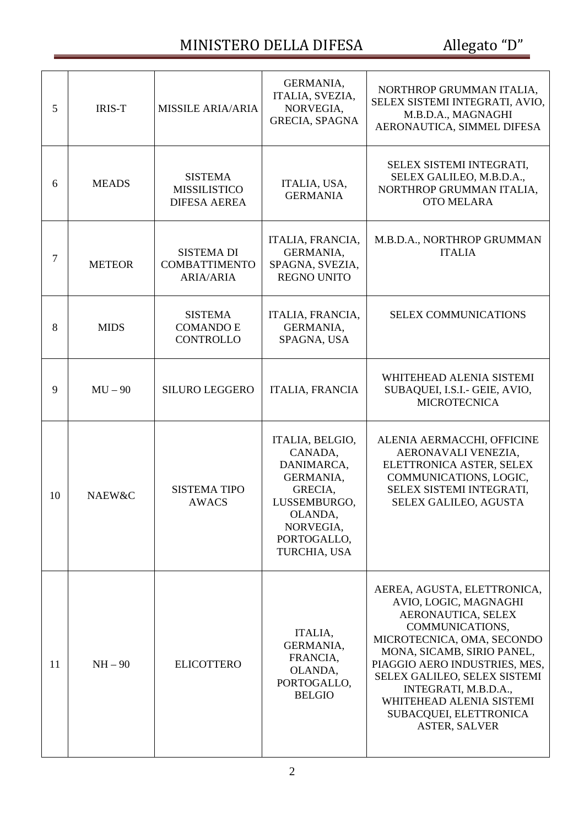## MINISTERO DELLA DIFESA Allegato "D"

| 5  | <b>IRIS-T</b> | <b>MISSILE ARIA/ARIA</b>                                      | GERMANIA,<br>ITALIA, SVEZIA,<br>NORVEGIA,<br><b>GRECIA, SPAGNA</b>                                                                      | NORTHROP GRUMMAN ITALIA,<br>SELEX SISTEMI INTEGRATI, AVIO,<br>M.B.D.A., MAGNAGHI<br>AERONAUTICA, SIMMEL DIFESA                                                                                                                                                                                                                   |
|----|---------------|---------------------------------------------------------------|-----------------------------------------------------------------------------------------------------------------------------------------|----------------------------------------------------------------------------------------------------------------------------------------------------------------------------------------------------------------------------------------------------------------------------------------------------------------------------------|
| 6  | <b>MEADS</b>  | <b>SISTEMA</b><br><b>MISSILISTICO</b><br><b>DIFESA AEREA</b>  | ITALIA, USA,<br><b>GERMANIA</b>                                                                                                         | SELEX SISTEMI INTEGRATI,<br>SELEX GALILEO, M.B.D.A.,<br>NORTHROP GRUMMAN ITALIA,<br><b>OTO MELARA</b>                                                                                                                                                                                                                            |
| 7  | <b>METEOR</b> | <b>SISTEMA DI</b><br><b>COMBATTIMENTO</b><br><b>ARIA/ARIA</b> | ITALIA, FRANCIA,<br>GERMANIA,<br>SPAGNA, SVEZIA,<br><b>REGNO UNITO</b>                                                                  | M.B.D.A., NORTHROP GRUMMAN<br><b>ITALIA</b>                                                                                                                                                                                                                                                                                      |
| 8  | <b>MIDS</b>   | <b>SISTEMA</b><br><b>COMANDO E</b><br><b>CONTROLLO</b>        | ITALIA, FRANCIA,<br>GERMANIA,<br>SPAGNA, USA                                                                                            | <b>SELEX COMMUNICATIONS</b>                                                                                                                                                                                                                                                                                                      |
| 9  | $MU - 90$     | <b>SILURO LEGGERO</b>                                         | ITALIA, FRANCIA                                                                                                                         | WHITEHEAD ALENIA SISTEMI<br>SUBAQUEI, I.S.I.- GEIE, AVIO,<br><b>MICROTECNICA</b>                                                                                                                                                                                                                                                 |
| 10 | NAEW&C        | <b>SISTEMA TIPO</b><br><b>AWACS</b>                           | ITALIA, BELGIO,<br>CANADA,<br>DANIMARCA,<br>GERMANIA,<br>GRECIA,<br>LUSSEMBURGO,<br>OLANDA,<br>NORVEGIA,<br>PORTOGALLO,<br>TURCHIA, USA | ALENIA AERMACCHI, OFFICINE<br>AERONAVALI VENEZIA,<br>ELETTRONICA ASTER, SELEX<br>COMMUNICATIONS, LOGIC,<br>SELEX SISTEMI INTEGRATI,<br>SELEX GALILEO, AGUSTA                                                                                                                                                                     |
| 11 | $NH - 90$     | <b>ELICOTTERO</b>                                             | ITALIA,<br>GERMANIA,<br>FRANCIA,<br>OLANDA,<br>PORTOGALLO,<br><b>BELGIO</b>                                                             | AEREA, AGUSTA, ELETTRONICA,<br>AVIO, LOGIC, MAGNAGHI<br>AERONAUTICA, SELEX<br>COMMUNICATIONS,<br>MICROTECNICA, OMA, SECONDO<br>MONA, SICAMB, SIRIO PANEL,<br>PIAGGIO AERO INDUSTRIES, MES,<br>SELEX GALILEO, SELEX SISTEMI<br>INTEGRATI, M.B.D.A.,<br>WHITEHEAD ALENIA SISTEMI<br>SUBACQUEI, ELETTRONICA<br><b>ASTER, SALVER</b> |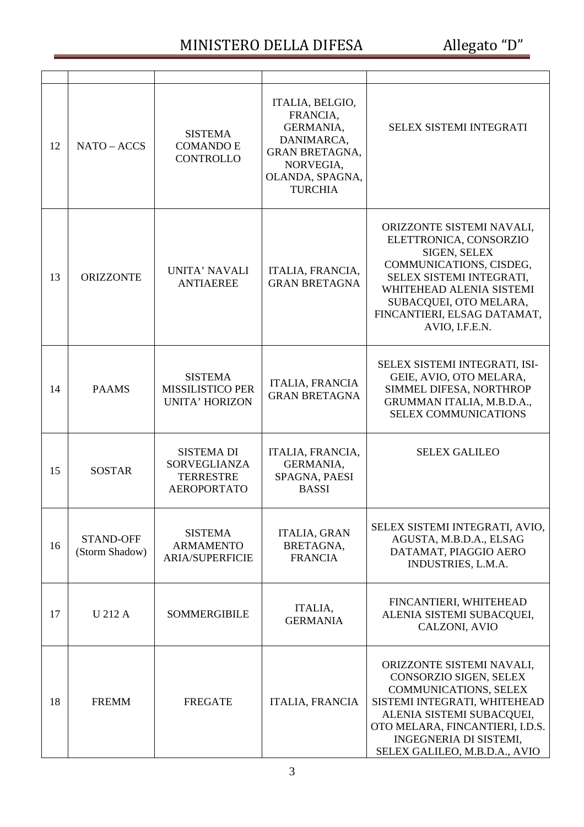## MINISTERO DELLA DIFESA Allegato "D"

| 12 | NATO - ACCS                        | <b>SISTEMA</b><br><b>COMANDO E</b><br><b>CONTROLLO</b>                             | ITALIA, BELGIO,<br>FRANCIA,<br>GERMANIA,<br>DANIMARCA.<br><b>GRAN BRETAGNA,</b><br>NORVEGIA,<br>OLANDA, SPAGNA,<br><b>TURCHIA</b> | <b>SELEX SISTEMI INTEGRATI</b>                                                                                                                                                                                                                 |
|----|------------------------------------|------------------------------------------------------------------------------------|-----------------------------------------------------------------------------------------------------------------------------------|------------------------------------------------------------------------------------------------------------------------------------------------------------------------------------------------------------------------------------------------|
| 13 | <b>ORIZZONTE</b>                   | UNITA' NAVALI<br><b>ANTIAEREE</b>                                                  | ITALIA, FRANCIA,<br><b>GRAN BRETAGNA</b>                                                                                          | ORIZZONTE SISTEMI NAVALI,<br>ELETTRONICA, CONSORZIO<br>SIGEN, SELEX<br>COMMUNICATIONS, CISDEG,<br>SELEX SISTEMI INTEGRATI,<br>WHITEHEAD ALENIA SISTEMI<br>SUBACQUEI, OTO MELARA,<br>FINCANTIERI, ELSAG DATAMAT,<br>AVIO, I.F.E.N.              |
| 14 | <b>PAAMS</b>                       | <b>SISTEMA</b><br><b>MISSILISTICO PER</b><br><b>UNITA' HORIZON</b>                 | <b>ITALIA, FRANCIA</b><br><b>GRAN BRETAGNA</b>                                                                                    | SELEX SISTEMI INTEGRATI, ISI-<br>GEIE, AVIO, OTO MELARA,<br>SIMMEL DIFESA, NORTHROP<br>GRUMMAN ITALIA, M.B.D.A.,<br><b>SELEX COMMUNICATIONS</b>                                                                                                |
| 15 | <b>SOSTAR</b>                      | <b>SISTEMA DI</b><br><b>SORVEGLIANZA</b><br><b>TERRESTRE</b><br><b>AEROPORTATO</b> | ITALIA, FRANCIA,<br>GERMANIA,<br>SPAGNA, PAESI<br><b>BASSI</b>                                                                    | <b>SELEX GALILEO</b>                                                                                                                                                                                                                           |
| 16 | <b>STAND-OFF</b><br>(Storm Shadow) | <b>SISTEMA</b><br><b>ARMAMENTO</b><br><b>ARIA/SUPERFICIE</b>                       | <b>ITALIA, GRAN</b><br>BRETAGNA,<br><b>FRANCIA</b>                                                                                | SELEX SISTEMI INTEGRATI, AVIO,<br>AGUSTA, M.B.D.A., ELSAG<br>DATAMAT, PIAGGIO AERO<br>INDUSTRIES, L.M.A.                                                                                                                                       |
| 17 | U 212 A                            | <b>SOMMERGIBILE</b>                                                                | ITALIA,<br><b>GERMANIA</b>                                                                                                        | FINCANTIERI, WHITEHEAD<br>ALENIA SISTEMI SUBACQUEI,<br>CALZONI, AVIO                                                                                                                                                                           |
| 18 | <b>FREMM</b>                       | <b>FREGATE</b>                                                                     | <b>ITALIA, FRANCIA</b>                                                                                                            | ORIZZONTE SISTEMI NAVALI,<br>CONSORZIO SIGEN, SELEX<br><b>COMMUNICATIONS, SELEX</b><br>SISTEMI INTEGRATI, WHITEHEAD<br>ALENIA SISTEMI SUBACQUEI,<br>OTO MELARA, FINCANTIERI, I.D.S.<br>INGEGNERIA DI SISTEMI,<br>SELEX GALILEO, M.B.D.A., AVIO |